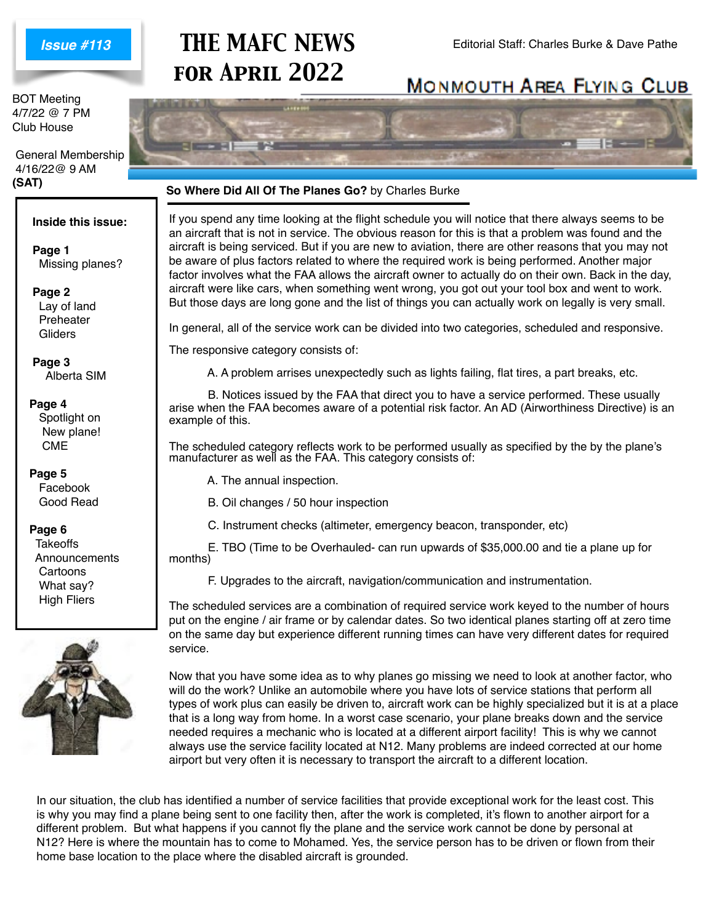### *Issue #113*

BOT Meeting 4/7/22 @ 7 PM Club House

 General Membership 4/16/22@ 9 AM **(SAT)**

#### **Inside this issue:**

 **Page 1** Missing planes?

 **Page 2** Lay of land Preheater **Gliders** 

 **Page 3** Alberta SIM

#### **Page 4**

Spotlight on New plane! CME

**Page 5** Facebook Good Read

**Page 6**

**Takeoffs**  Announcements Cartoons What say? High Fliers



# **THE MAFC NEWS** Editorial Staff: Charles Burke & Dave Pathe *for April 2022*

## **MONMOUTH AREA FLYING CLUB**



#### **So Where Did All Of The Planes Go?** by Charles Burke

If you spend any time looking at the flight schedule you will notice that there always seems to be an aircraft that is not in service. The obvious reason for this is that a problem was found and the aircraft is being serviced. But if you are new to aviation, there are other reasons that you may not be aware of plus factors related to where the required work is being performed. Another major factor involves what the FAA allows the aircraft owner to actually do on their own. Back in the day, aircraft were like cars, when something went wrong, you got out your tool box and went to work. But those days are long gone and the list of things you can actually work on legally is very small.

In general, all of the service work can be divided into two categories, scheduled and responsive.

The responsive category consists of:

A. A problem arrises unexpectedly such as lights failing, flat tires, a part breaks, etc.

 B. Notices issued by the FAA that direct you to have a service performed. These usually arise when the FAA becomes aware of a potential risk factor. An AD (Airworthiness Directive) is an example of this.

The scheduled category reflects work to be performed usually as specified by the by the plane's manufacturer as well as the FAA. This category consists of:

- A. The annual inspection.
- B. Oil changes / 50 hour inspection
- C. Instrument checks (altimeter, emergency beacon, transponder, etc)

 E. TBO (Time to be Overhauled- can run upwards of \$35,000.00 and tie a plane up for months)

F. Upgrades to the aircraft, navigation/communication and instrumentation.

The scheduled services are a combination of required service work keyed to the number of hours put on the engine / air frame or by calendar dates. So two identical planes starting off at zero time on the same day but experience different running times can have very different dates for required service.

Now that you have some idea as to why planes go missing we need to look at another factor, who will do the work? Unlike an automobile where you have lots of service stations that perform all types of work plus can easily be driven to, aircraft work can be highly specialized but it is at a place that is a long way from home. In a worst case scenario, your plane breaks down and the service needed requires a mechanic who is located at a different airport facility! This is why we cannot always use the service facility located at N12. Many problems are indeed corrected at our home airport but very often it is necessary to transport the aircraft to a different location.

In our situation, the club has identified a number of service facilities that provide exceptional work for the least cost. This is why you may find a plane being sent to one facility then, after the work is completed, it's flown to another airport for a different problem. But what happens if you cannot fly the plane and the service work cannot be done by personal at N12? Here is where the mountain has to come to Mohamed. Yes, the service person has to be driven or flown from their home base location to the place where the disabled aircraft is grounded.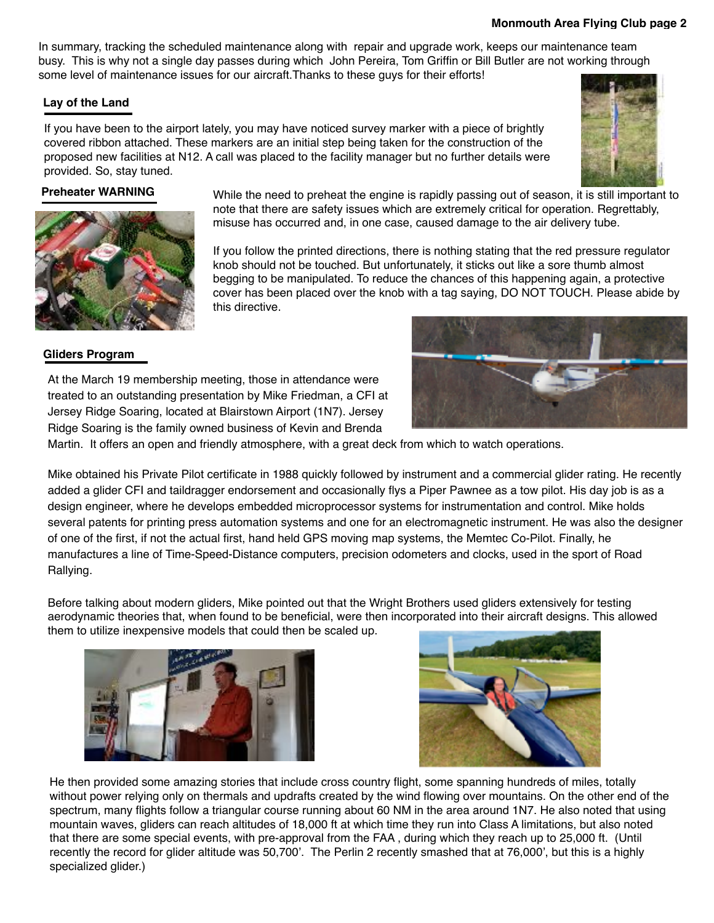In summary, tracking the scheduled maintenance along with repair and upgrade work, keeps our maintenance team busy. This is why not a single day passes during which John Pereira, Tom Griffin or Bill Butler are not working through some level of maintenance issues for our aircraft.Thanks to these guys for their efforts!

#### **Lay of the Land**

If you have been to the airport lately, you may have noticed survey marker with a piece of brightly covered ribbon attached. These markers are an initial step being taken for the construction of the proposed new facilities at N12. A call was placed to the facility manager but no further details were provided. So, stay tuned.



**Preheater WARNING** While the need to preheat the engine is rapidly passing out of season, it is still important to note that there are safety issues which are extremely critical for operation. Regrettably, misuse has occurred and, in one case, caused damage to the air delivery tube.

> If you follow the printed directions, there is nothing stating that the red pressure regulator knob should not be touched. But unfortunately, it sticks out like a sore thumb almost begging to be manipulated. To reduce the chances of this happening again, a protective cover has been placed over the knob with a tag saying, DO NOT TOUCH. Please abide by this directive.

#### **Gliders Program**

At the March 19 membership meeting, those in attendance were treated to an outstanding presentation by Mike Friedman, a CFI at Jersey Ridge Soaring, located at Blairstown Airport (1N7). Jersey Ridge Soaring is the family owned business of Kevin and Brenda



Martin. It offers an open and friendly atmosphere, with a great deck from which to watch operations.

Mike obtained his Private Pilot certificate in 1988 quickly followed by instrument and a commercial glider rating. He recently added a glider CFI and taildragger endorsement and occasionally flys a Piper Pawnee as a tow pilot. His day job is as a design engineer, where he develops embedded microprocessor systems for instrumentation and control. Mike holds several patents for printing press automation systems and one for an electromagnetic instrument. He was also the designer of one of the first, if not the actual first, hand held GPS moving map systems, the Memtec Co-Pilot. Finally, he manufactures a line of Time-Speed-Distance computers, precision odometers and clocks, used in the sport of Road Rallying.

Before talking about modern gliders, Mike pointed out that the Wright Brothers used gliders extensively for testing aerodynamic theories that, when found to be beneficial, were then incorporated into their aircraft designs. This allowed them to utilize inexpensive models that could then be scaled up.





He then provided some amazing stories that include cross country flight, some spanning hundreds of miles, totally without power relying only on thermals and updrafts created by the wind flowing over mountains. On the other end of the spectrum, many flights follow a triangular course running about 60 NM in the area around 1N7. He also noted that using mountain waves, gliders can reach altitudes of 18,000 ft at which time they run into Class A limitations, but also noted that there are some special events, with pre-approval from the FAA , during which they reach up to 25,000 ft. (Until recently the record for glider altitude was 50,700'. The Perlin 2 recently smashed that at 76,000', but this is a highly specialized glider.)

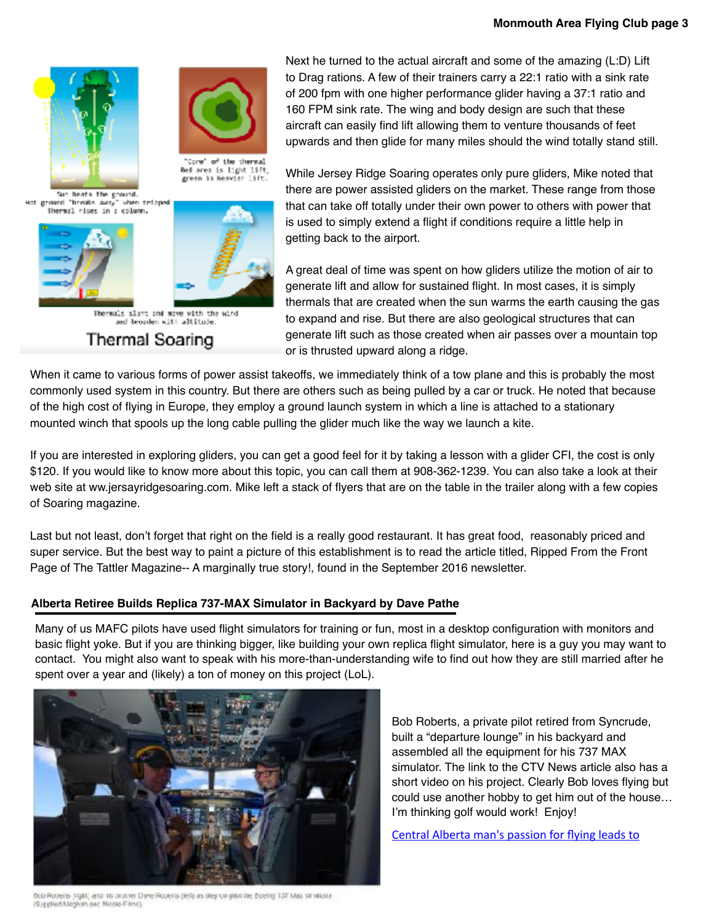

"Core" of the thermal

Sun heats the ground. Hot ground "breaks away" when tripped Thermal rises in a column.





Thermals slant and move with the wind and broaden with altitude.

**Thermal Soaring** 

Next he turned to the actual aircraft and some of the amazing (L:D) Lift to Drag rations. A few of their trainers carry a 22:1 ratio with a sink rate of 200 fpm with one higher performance glider having a 37:1 ratio and 160 FPM sink rate. The wing and body design are such that these aircraft can easily find lift allowing them to venture thousands of feet upwards and then glide for many miles should the wind totally stand still.

While Jersey Ridge Soaring operates only pure gliders, Mike noted that there are power assisted gliders on the market. These range from those that can take off totally under their own power to others with power that is used to simply extend a flight if conditions require a little help in getting back to the airport.

A great deal of time was spent on how gliders utilize the motion of air to generate lift and allow for sustained flight. In most cases, it is simply thermals that are created when the sun warms the earth causing the gas to expand and rise. But there are also geological structures that can generate lift such as those created when air passes over a mountain top or is thrusted upward along a ridge.

When it came to various forms of power assist takeoffs, we immediately think of a tow plane and this is probably the most commonly used system in this country. But there are others such as being pulled by a car or truck. He noted that because of the high cost of flying in Europe, they employ a ground launch system in which a line is attached to a stationary mounted winch that spools up the long cable pulling the glider much like the way we launch a kite.

If you are interested in exploring gliders, you can get a good feel for it by taking a lesson with a glider CFI, the cost is only \$120. If you would like to know more about this topic, you can call them at 908-362-1239. You can also take a look at their web site at ww.jersayridgesoaring.com. Mike left a stack of flyers that are on the table in the trailer along with a few copies of Soaring magazine.

Last but not least, don't forget that right on the field is a really good restaurant. It has great food, reasonably priced and super service. But the best way to paint a picture of this establishment is to read the article titled, Ripped From the Front Page of The Tattler Magazine-- A marginally true story!, found in the September 2016 newsletter.

### **Alberta Retiree Builds Replica 737-MAX Simulator in Backyard by Dave Pathe**

Many of us MAFC pilots have used flight simulators for training or fun, most in a desktop configuration with monitors and basic flight yoke. But if you are thinking bigger, like building your own replica flight simulator, here is a guy you may want to contact. You might also want to speak with his more-than-understanding wife to find out how they are still married after he spent over a year and (likely) a ton of money on this project (LoL).



Bob Roberts (right) and its brunner Dane Roberts (left) as they co-pluritie Elbertg 137 Max strinkstor (Supplied/Maghan and Micola Films).

Bob Roberts, a private pilot retired from Syncrude, built a "departure lounge" in his backyard and assembled all the equipment for his 737 MAX simulator. The link to the CTV News article also has a short video on his project. Clearly Bob loves flying but could use another hobby to get him out of the house… I'm thinking golf would work! Enjoy!

[Central Alberta man's passion for flying leads to](https://edmonton.ctvnews.ca/central-alberta-man-s-passion-for-flying-leads-to-building-lifelike-aircraft-simulator-1.5733600)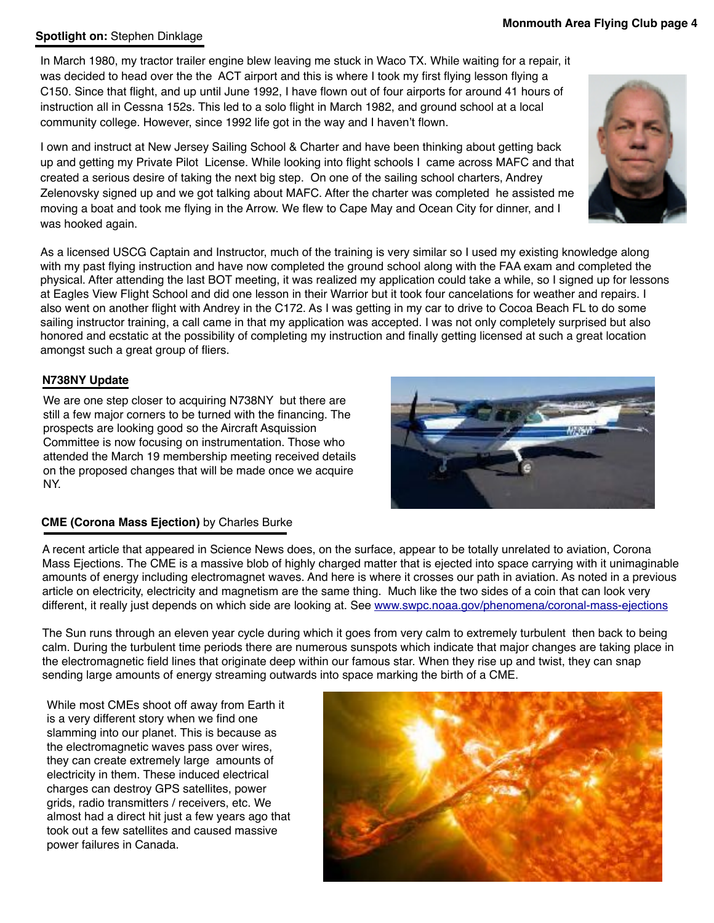#### **Spotlight on:** Stephen Dinklage

In March 1980, my tractor trailer engine blew leaving me stuck in Waco TX. While waiting for a repair, it was decided to head over the the ACT airport and this is where I took my first flying lesson flying a C150. Since that flight, and up until June 1992, I have flown out of four airports for around 41 hours of instruction all in Cessna 152s. This led to a solo flight in March 1982, and ground school at a local community college. However, since 1992 life got in the way and I haven't flown.

I own and instruct at New Jersey Sailing School & Charter and have been thinking about getting back up and getting my Private Pilot License. While looking into flight schools I came across MAFC and that created a serious desire of taking the next big step. On one of the sailing school charters, Andrey Zelenovsky signed up and we got talking about MAFC. After the charter was completed he assisted me moving a boat and took me flying in the Arrow. We flew to Cape May and Ocean City for dinner, and I was hooked again.

As a licensed USCG Captain and Instructor, much of the training is very similar so I used my existing knowledge along with my past flying instruction and have now completed the ground school along with the FAA exam and completed the physical. After attending the last BOT meeting, it was realized my application could take a while, so I signed up for lessons at Eagles View Flight School and did one lesson in their Warrior but it took four cancelations for weather and repairs. I also went on another flight with Andrey in the C172. As I was getting in my car to drive to Cocoa Beach FL to do some sailing instructor training, a call came in that my application was accepted. I was not only completely surprised but also honored and ecstatic at the possibility of completing my instruction and finally getting licensed at such a great location amongst such a great group of fliers.

#### **N738NY Update**

We are one step closer to acquiring N738NY but there are still a few major corners to be turned with the financing. The prospects are looking good so the Aircraft Asquission Committee is now focusing on instrumentation. Those who attended the March 19 membership meeting received details on the proposed changes that will be made once we acquire NY.

### **CME (Corona Mass Ejection)** by Charles Burke

A recent article that appeared in Science News does, on the surface, appear to be totally unrelated to aviation, Corona Mass Ejections. The CME is a massive blob of highly charged matter that is ejected into space carrying with it unimaginable amounts of energy including electromagnet waves. And here is where it crosses our path in aviation. As noted in a previous article on electricity, electricity and magnetism are the same thing. Much like the two sides of a coin that can look very different, it really just depends on which side are looking at. See [www.swpc.noaa.gov/phenomena/coronal-mass-ejections](http://www.swpc.noaa.gov/phenomena/coronal-mass-ejections)

The Sun runs through an eleven year cycle during which it goes from very calm to extremely turbulent then back to being calm. During the turbulent time periods there are numerous sunspots which indicate that major changes are taking place in the electromagnetic field lines that originate deep within our famous star. When they rise up and twist, they can snap sending large amounts of energy streaming outwards into space marking the birth of a CME.

While most CMEs shoot off away from Earth it is a very different story when we find one slamming into our planet. This is because as the electromagnetic waves pass over wires, they can create extremely large amounts of electricity in them. These induced electrical charges can destroy GPS satellites, power grids, radio transmitters / receivers, etc. We almost had a direct hit just a few years ago that took out a few satellites and caused massive power failures in Canada.







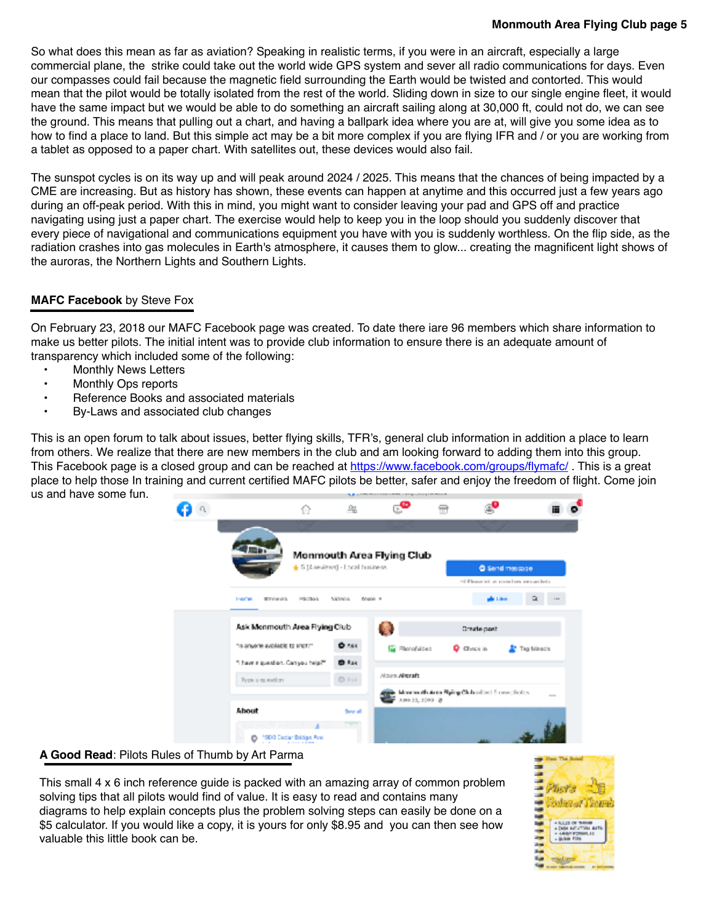#### **Monmouth Area Flying Club page 5**

So what does this mean as far as aviation? Speaking in realistic terms, if you were in an aircraft, especially a large commercial plane, the strike could take out the world wide GPS system and sever all radio communications for days. Even our compasses could fail because the magnetic field surrounding the Earth would be twisted and contorted. This would mean that the pilot would be totally isolated from the rest of the world. Sliding down in size to our single engine fleet, it would have the same impact but we would be able to do something an aircraft sailing along at 30,000 ft, could not do, we can see the ground. This means that pulling out a chart, and having a ballpark idea where you are at, will give you some idea as to how to find a place to land. But this simple act may be a bit more complex if you are flying IFR and / or you are working from a tablet as opposed to a paper chart. With satellites out, these devices would also fail.

The sunspot cycles is on its way up and will peak around 2024 / 2025. This means that the chances of being impacted by a CME are increasing. But as history has shown, these events can happen at anytime and this occurred just a few years ago during an off-peak period. With this in mind, you might want to consider leaving your pad and GPS off and practice navigating using just a paper chart. The exercise would help to keep you in the loop should you suddenly discover that every piece of navigational and communications equipment you have with you is suddenly worthless. On the flip side, as the radiation crashes into gas molecules in Earth's atmosphere, it causes them to glow... creating the magnificent light shows of the auroras, the Northern Lights and Southern Lights.

#### **MAFC Facebook** by Steve Fox

On February 23, 2018 our MAFC Facebook page was created. To date there iare 96 members which share information to make us better pilots. The initial intent was to provide club information to ensure there is an adequate amount of transparency which included some of the following:

- Monthly News Letters
- Monthly Ops reports
- Reference Books and associated materials
- By-Laws and associated club changes

This is an open forum to talk about issues, better flying skills, TFR's, general club information in addition a place to learn from others. We realize that there are new members in the club and am looking forward to adding them into this group. This Facebook page is a closed group and can be reached at [https://www.facebook.com/groups/flymafc/](https://nam12.safelinks.protection.outlook.com/?url=https%3A%2F%2Fwww.facebook.com%2Fgroups%2Fflymafc%2F&data=04%7C01%7C%7C2294f6b16aa14a634d2908da01511b6e%7C84df9e7fe9f640afb435aaaaaaaaaaaa%7C1%7C0%7C637823745104948394%7CUnknown%7CTWFpbGZsb3d8eyJWIjoiMC4wLjAwMDAiLCJQIjoiV2luMzIiLCJBTiI6Ik1haWwiLCJXVCI6Mn0%3D%7C3000&sdata=8ifz2c6GMy5STQhP1d8m%2FtxqETA2yo2N6IfKERN9TwE%3D&reserved=0). This is a great place to help those In training and current certified MAFC pilots be better, safer and enjoy the freedom of flight. Come join us and have some fun.

|                                    | €                                           | 鸟                |                           |                                              |                                         |               |  |  |  |
|------------------------------------|---------------------------------------------|------------------|---------------------------|----------------------------------------------|-----------------------------------------|---------------|--|--|--|
|                                    |                                             |                  |                           |                                              |                                         |               |  |  |  |
|                                    |                                             |                  | Monmouth Area Flying Club |                                              |                                         |               |  |  |  |
|                                    | +5 [4 neviews] - Local business             |                  |                           |                                              | <b>C</b> Send message                   |               |  |  |  |
|                                    |                                             |                  |                           |                                              | >3 Please let us soon how we can be in- |               |  |  |  |
| <b>Holme</b>                       | <b>REVIEWS</b><br>PROMIS<br>VEMOL<br>Maze # |                  |                           |                                              |                                         | ū.<br>$-0.04$ |  |  |  |
|                                    |                                             |                  |                           |                                              |                                         |               |  |  |  |
|                                    | Ask Menmouth Area Flying Club               |                  |                           | 優<br>Create post                             |                                         |               |  |  |  |
| his anyone available to short?"    |                                             | 0.164            | <b>E Photofulded</b>      | <b>Q</b> Christin                            | Tha filesch                             |               |  |  |  |
| "I have a question. Can you help?" |                                             | <b>O</b> Ask     |                           |                                              |                                         |               |  |  |  |
| Type a guestion.                   |                                             | <b>Di Ksir</b>   | <b>Mourn Aircraft</b>     |                                              |                                         |               |  |  |  |
|                                    |                                             |                  | $-3.8923, 2093 - 8$       | Monmouth Area Rying Club added 5 new photos. |                                         | <b>COLOR</b>  |  |  |  |
| About                              |                                             | See all          |                           |                                              |                                         |               |  |  |  |
| ۰                                  | 1900 Ceclar Eridge Ave.                     | <b>TERRITORY</b> |                           |                                              |                                         |               |  |  |  |

#### **A Good Read**: Pilots Rules of Thumb by Art Parma

This small 4 x 6 inch reference guide is packed with an amazing array of common problem solving tips that all pilots would find of value. It is easy to read and contains many diagrams to help explain concepts plus the problem solving steps can easily be done on a \$5 calculator. If you would like a copy, it is yours for only \$8.95 and you can then see how valuable this little book can be.